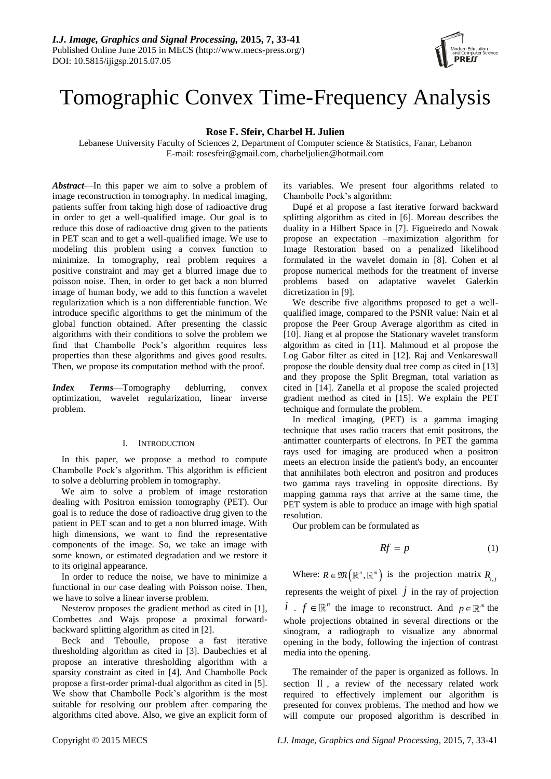

# Tomographic Convex Time-Frequency Analysis

**Rose F. Sfeir, Charbel H. Julien**

Lebanese University Faculty of Sciences 2, Department of Computer science & Statistics, Fanar, Lebanon E-mail: rosesfeir@gmail.com, charbeljulien@hotmail.com

*Abstract*—In this paper we aim to solve a problem of image reconstruction in tomography. In medical imaging, patients suffer from taking high dose of radioactive drug in order to get a well-qualified image. Our goal is to reduce this dose of radioactive drug given to the patients in PET scan and to get a well-qualified image. We use to modeling this problem using a convex function to minimize. In tomography, real problem requires a positive constraint and may get a blurred image due to poisson noise. Then, in order to get back a non blurred image of human body, we add to this function a wavelet regularization which is a non differentiable function. We introduce specific algorithms to get the minimum of the global function obtained. After presenting the classic algorithms with their conditions to solve the problem we find that Chambolle Pock's algorithm requires less properties than these algorithms and gives good results. Then, we propose its computation method with the proof.

*Index Terms*—Tomography deblurring, convex optimization, wavelet regularization, linear inverse problem.

# I. INTRODUCTION

In this paper, we propose a method to compute Chambolle Pock's algorithm. This algorithm is efficient to solve a deblurring problem in tomography.

We aim to solve a problem of image restoration dealing with Positron emission tomography (PET). Our goal is to reduce the dose of radioactive drug given to the patient in PET scan and to get a non blurred image. With high dimensions, we want to find the representative components of the image. So, we take an image with some known, or estimated degradation and we restore it to its original appearance.

In order to reduce the noise, we have to minimize a functional in our case dealing with Poisson noise. Then, we have to solve a linear inverse problem.

Nesterov proposes the gradient method as cited in [1], Combettes and Wajs propose a proximal forwardbackward splitting algorithm as cited in [2].

Beck and Teboulle, propose a fast iterative thresholding algorithm as cited in [3]. Daubechies et al propose an interative thresholding algorithm with a sparsity constraint as cited in [4]. And Chambolle Pock propose a first-order primal-dual algorithm as cited in [5]. We show that Chambolle Pock's algorithm is the most suitable for resolving our problem after comparing the algorithms cited above. Also, we give an explicit form of

its variables. We present four algorithms related to Chambolle Pock's algorithm:

Dupé et al propose a fast iterative forward backward splitting algorithm as cited in [6]. Moreau describes the duality in a Hilbert Space in [7]. Figueiredo and Nowak propose an expectation –maximization algorithm for Image Restoration based on a penalized likelihood formulated in the wavelet domain in [8]. Cohen et al propose numerical methods for the treatment of inverse problems based on adaptative wavelet Galerkin dicretization in [9].

We describe five algorithms proposed to get a wellqualified image, compared to the PSNR value: Nain et al propose the Peer Group Average algorithm as cited in [10]. Jiang et al propose the Stationary wavelet transform algorithm as cited in [11]. Mahmoud et al propose the Log Gabor filter as cited in [12]. Raj and Venkareswall propose the double density dual tree comp as cited in [13] and they propose the Split Bregman, total variation as cited in [14]. Zanella et al propose the scaled projected gradient method as cited in [15]. We explain the PET technique and formulate the problem.

In medical imaging, (PET) is a gamma imaging technique that uses radio tracers that emit positrons, the antimatter counterparts of electrons. In PET the gamma rays used for imaging are produced when a positron meets an electron inside the patient's body, an encounter that annihilates both electron and positron and produces two gamma rays traveling in opposite directions. By mapping gamma rays that arrive at the same time, the PET system is able to produce an image with high spatial resolution.

Our problem can be formulated as

$$
Rf = p \tag{1}
$$

Where:  $R \in \mathfrak{M}(\mathbb{R}^n, \mathbb{R}^m)$  is the projection matrix  $R_{i,j}$ represents the weight of pixel  $\dot{j}$  in the ray of projection *i* .  $f \in \mathbb{R}^n$  the image to reconstruct. And  $p \in \mathbb{R}^m$  the whole projections obtained in several directions or the sinogram, a radiograph to visualize any abnormal opening in the body, following the injection of contrast media into the opening.

The remainder of the paper is organized as follows. In section Ⅱ , a review of the necessary related work required to effectively implement our algorithm is presented for convex problems. The method and how we will compute our proposed algorithm is described in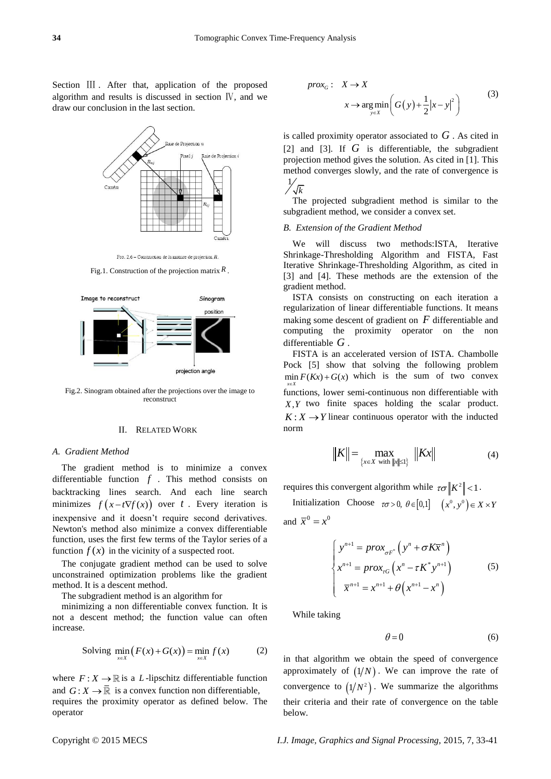Section III . After that, application of the proposed algorithm and results is discussed in section Ⅳ, and we draw our conclusion in the last section.



FIG. 2.6 - Construction de la matrice de projection  $R$ 

Fig.1. Construction of the projection matrix *R* .



Fig.2. Sinogram obtained after the projections over the image to reconstruct

# II. RELATED WORK

#### *A. Gradient Method*

The gradient method is to minimize a convex differentiable function  $f$ . This method consists on backtracking lines search. And each line search minimizes  $f(x-t\nabla f(x))$  over t. Every iteration is inexpensive and it doesn't require second derivatives. Newton's method also minimize a convex differentiable function, uses the first few terms of the Taylor series of a function  $f(x)$  in the vicinity of a suspected root.

The conjugate gradient method can be used to solve unconstrained optimization problems like the gradient method. It is a descent method.

The subgradient method is an algorithm for

minimizing a non differentiable convex function. It is not a descent method; the function value can often increase.

Solving 
$$
\min_{x \in X} (F(x) + G(x)) = \min_{x \in X} f(x)
$$
 (2)

where  $F: X \to \mathbb{R}$  is a L-lipschitz differentiable function and  $G: X \to \overline{\mathbb{R}}$  is a convex function non differentiable, requires the proximity operator as defined below. The operator

$$
prox_G: X \to X
$$
  

$$
x \to arg min\left(G(y) + \frac{1}{2}|x - y|^2\right)
$$
 (3)

is called proximity operator associated to *G* . As cited in [2] and [3]. If *G* is differentiable, the subgradient projection method gives the solution. As cited in [1]. This method converges slowly, and the rate of convergence is  $1/$ 

$$
\sqrt[k]{\sqrt{k}}
$$

The projected subgradient method is similar to the subgradient method, we consider a convex set.

#### *B. Extension of the Gradient Method*

We will discuss two methods:ISTA, Iterative Shrinkage-Thresholding Algorithm and FISTA, Fast Iterative Shrinkage-Thresholding Algorithm, as cited in [3] and [4]. These methods are the extension of the gradient method.

ISTA consists on constructing on each iteration a regularization of linear differentiable functions. It means making some descent of gradient on *F* differentiable and computing the proximity operator on the non differentiable *G* .

FISTA is an accelerated version of ISTA. Chambolle Pock [5] show that solving the following problem  $\min F(Kx) + G(x)$  which is the sum of two convex  $x \in X$ :∈ functions, lower semi-continuous non differentiable with *X Y*, two finite spaces holding the scalar product.  $K: X \rightarrow Y$  linear continuous operator with the inducted norm

$$
||K|| = \max_{\{x \in X \text{ with } ||x|| \le 1\}} ||Kx|| \tag{4}
$$

requires this convergent algorithm while  $\tau \sigma \|K^2\| < 1$ .

Initialization Choose  $\tau \sigma > 0$ ,  $\theta \in [0,1]$   $(x^0, y^0) \in X \times Y$ and  $\overline{x}^0 = x^0$ 

$$
\begin{cases}\ny^{n+1} = prox_{\sigma F^*} \left( y^n + \sigma K \overline{x}^n \right) \\
x^{n+1} = prox_{\tau G} \left( x^n - \tau K^* y^{n+1} \right) \\
\overline{x}^{n+1} = x^{n+1} + \theta \left( x^{n+1} - x^n \right)\n\end{cases} (5)
$$

While taking

$$
\theta = 0 \tag{6}
$$

in that algorithm we obtain the speed of convergence approximately of  $(1/N)$ . We can improve the rate of convergence to  $(1/N^2)$ . We summarize the algorithms their criteria and their rate of convergence on the table below.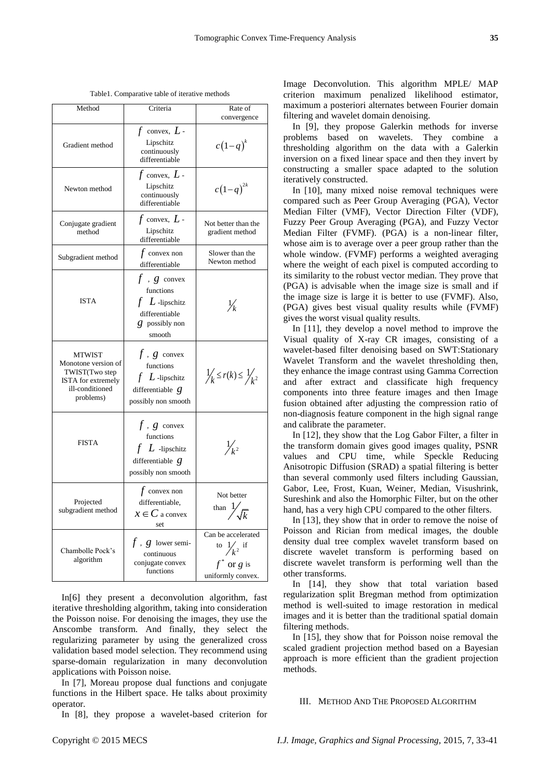| Method                                                                                                       | Criteria                                                                                                      | Rate of<br>convergence                                                            |
|--------------------------------------------------------------------------------------------------------------|---------------------------------------------------------------------------------------------------------------|-----------------------------------------------------------------------------------|
| Gradient method                                                                                              | $f$ convex, $L$ -<br>Lipschitz<br>continuously<br>differentiable                                              | $c(1-q)^k$                                                                        |
| Newton method                                                                                                | $f$ convex, $L$ -<br>Lipschitz<br>continuously<br>differentiable                                              | $c(1-q)^{2k}$                                                                     |
| Conjugate gradient<br>method                                                                                 | $f$ convex, $L$ -<br>Lipschitz<br>differentiable                                                              | Not better than the<br>gradient method                                            |
| Subgradient method                                                                                           | $f$ convex non<br>differentiable                                                                              | Slower than the<br>Newton method                                                  |
| <b>ISTA</b>                                                                                                  | $f$ , $g$ convex<br>functions<br>$f$ $L$ -lipschitz<br>differentiable<br>$\mathcal{G}$ possibly non<br>smooth | $\frac{1}{k}$                                                                     |
| <b>MTWIST</b><br>Monotone version of<br>TWIST(Two step<br>ISTA for extremely<br>ill-conditioned<br>problems) | $f$ , $g$ convex<br>functions<br>$f$ $L$ -lipschitz<br>differentiable $g$<br>possibly non smooth              | $\frac{1}{k} \leq r(k) \leq \frac{1}{k^2}$                                        |
| <b>FISTA</b>                                                                                                 | $f$ , $g$ convex<br>functions<br>$f$ $L$ -lipschitz<br>differentiable $g$<br>possibly non smooth              | $\frac{1}{k^2}$                                                                   |
| Projected<br>subgradient method                                                                              | $f$ convex non<br>differentiable.<br>$x \in C$ a convex<br>set                                                | Not better<br>than $\frac{1}{\sqrt{k}}$                                           |
| Chambolle Pock's<br>algorithm                                                                                | $f$ , $g$ lower semi-<br>continuous<br>conjugate convex<br>functions                                          | Can be accelerated<br>to $\frac{1}{k^2}$ if<br>$f^*$ or g is<br>uniformly convex. |

Table1. Comparative table of iterative methods

In[6] they present a deconvolution algorithm, fast iterative thresholding algorithm, taking into consideration the Poisson noise. For denoising the images, they use the Anscombe transform. And finally, they select the regularizing parameter by using the generalized cross validation based model selection. They recommend using sparse-domain regularization in many deconvolution applications with Poisson noise.

In [7], Moreau propose dual functions and conjugate functions in the Hilbert space. He talks about proximity operator.

In [8], they propose a wavelet-based criterion for

Image Deconvolution. This algorithm MPLE/ MAP criterion maximum penalized likelihood estimator, maximum a posteriori alternates between Fourier domain filtering and wavelet domain denoising.

In [9], they propose Galerkin methods for inverse problems based on wavelets. They combine a thresholding algorithm on the data with a Galerkin inversion on a fixed linear space and then they invert by constructing a smaller space adapted to the solution iteratively constructed.

In [10], many mixed noise removal techniques were compared such as Peer Group Averaging (PGA), Vector Median Filter (VMF), Vector Direction Filter (VDF), Fuzzy Peer Group Averaging (PGA), and Fuzzy Vector Median Filter (FVMF). (PGA) is a non-linear filter, whose aim is to average over a peer group rather than the whole window. (FVMF) performs a weighted averaging where the weight of each pixel is computed according to its similarity to the robust vector median. They prove that (PGA) is advisable when the image size is small and if the image size is large it is better to use (FVMF). Also, (PGA) gives best visual quality results while (FVMF) gives the worst visual quality results.

In [11], they develop a novel method to improve the Visual quality of X-ray CR images, consisting of a wavelet-based filter denoising based on SWT:Stationary Wavelet Transform and the wavelet thresholding then, they enhance the image contrast using Gamma Correction and after extract and classificate high frequency components into three feature images and then Image fusion obtained after adjusting the compression ratio of non-diagnosis feature component in the high signal range and calibrate the parameter.

In [12], they show that the Log Gabor Filter, a filter in the transform domain gives good images quality, PSNR values and CPU time, while Speckle Reducing Anisotropic Diffusion (SRAD) a spatial filtering is better than several commonly used filters including Gaussian, Gabor, Lee, Frost, Kuan, Weiner, Median, Visushrink, Sureshink and also the Homorphic Filter, but on the other hand, has a very high CPU compared to the other filters.

In [13], they show that in order to remove the noise of Poisson and Rician from medical images, the double density dual tree complex wavelet transform based on discrete wavelet transform is performing based on discrete wavelet transform is performing well than the other transforms.

In [14], they show that total variation based regularization split Bregman method from optimization method is well-suited to image restoration in medical images and it is better than the traditional spatial domain filtering methods.

In [15], they show that for Poisson noise removal the scaled gradient projection method based on a Bayesian approach is more efficient than the gradient projection methods.

#### III. METHOD AND THE PROPOSED ALGORITHM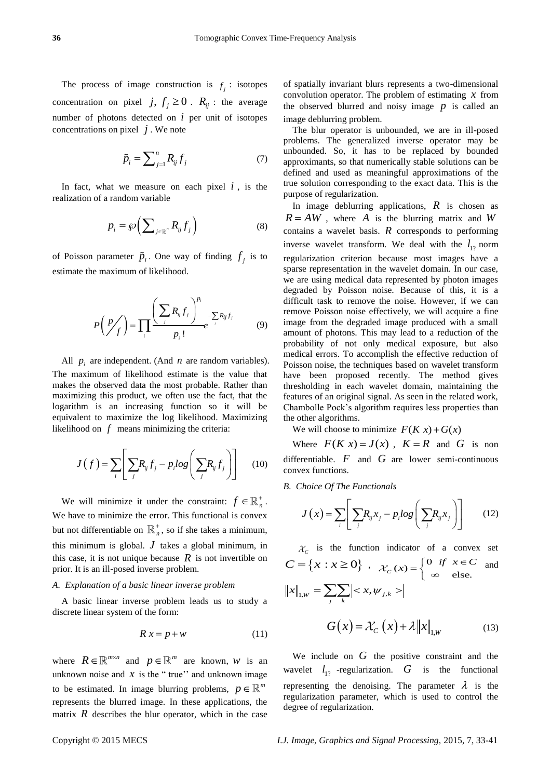The process of image construction is  $f_j$ : isotopes concentration on pixel  $j, f_j \ge 0$ .  $R_{ij}$ : the average number of photons detected on  $i$  per unit of isotopes concentrations on pixel  $j$ . We note

$$
\tilde{p}_i = \sum_{j=1}^n R_{ij} f_j \tag{7}
$$

In fact, what we measure on each pixel  $i$ , is the realization of a random variable

$$
p_i = \wp\bigg(\sum_{j \in \mathbb{R}^n} R_{ij} f_j\bigg) \tag{8}
$$

of Poisson parameter  $\tilde{p}_i$ . One way of finding  $f_j$  is to estimate the maximum of likelihood.

$$
P\left(\frac{p}{f}\right) = \prod_{i} \frac{\left(\sum_{j} R_{ij} f_{j}\right)^{p_{i}}}{p_{i}!} e^{-\sum_{j} R_{ij} f_{j}}
$$
(9)

All  $p_i$  are independent. (And  $n$  are random variables). The maximum of likelihood estimate is the value that makes the observed data the most probable. Rather than maximizing this product, we often use the fact, that the logarithm is an increasing function so it will be equivalent to maximize the log likelihood. Maximizing likelihood on  $f$  means minimizing the criteria:

$$
J(f) = \sum_{i} \left[ \sum_{j} R_{ij} f_j - p_i \log \left( \sum_{j} R_{ij} f_j \right) \right]
$$
 (10)

We will minimize it under the constraint:  $f \in \mathbb{R}_n^+$ . We have to minimize the error. This functional is convex but not differentiable on  $\mathbb{R}^+$ <sub>n</sub>  $_{n}^{+}$ , so if she takes a minimum, this minimum is global.  $J$  takes a global minimum, in this case, it is not unique because  $R$  is not invertible on prior. It is an ill-posed inverse problem.

## *A. Explanation of a basic linear inverse problem*

A basic linear inverse problem leads us to study a discrete linear system of the form:

$$
R x = p + w \tag{11}
$$

where  $R \in \mathbb{R}^{m \times n}$  and  $p \in \mathbb{R}^m$  are known, *w* is an unknown noise and  $x$  is the "true" and unknown image to be estimated. In image blurring problems,  $p \in \mathbb{R}^m$ represents the blurred image. In these applications, the matrix  $R$  describes the blur operator, which in the case of spatially invariant blurs represents a two-dimensional convolution operator. The problem of estimating  $x$  from the observed blurred and noisy image  $p$  is called an image deblurring problem.

The blur operator is unbounded, we are in ill-posed problems. The generalized inverse operator may be unbounded. So, it has to be replaced by bounded approximants, so that numerically stable solutions can be defined and used as meaningful approximations of the true solution corresponding to the exact data. This is the purpose of regularization.

In image deblurring applications,  $R$  is chosen as  $R = AW$ , where A is the blurring matrix and W contains a wavelet basis.  $R$  corresponds to performing inverse wavelet transform. We deal with the  $l_{12}$  norm regularization criterion because most images have a sparse representation in the wavelet domain. In our case, we are using medical data represented by photon images degraded by Poisson noise. Because of this, it is a difficult task to remove the noise. However, if we can remove Poisson noise effectively, we will acquire a fine image from the degraded image produced with a small amount of photons. This may lead to a reduction of the probability of not only medical exposure, but also medical errors. To accomplish the effective reduction of Poisson noise, the techniques based on wavelet transform have been proposed recently. The method gives thresholding in each wavelet domain, maintaining the features of an original signal. As seen in the related work, Chambolle Pock's algorithm requires less properties than the other algorithms.

We will choose to minimize  $F(Kx) + G(x)$ 

Where  $F(Kx) = J(x)$ ,  $K = R$  and G is non differentiable.  $F$  and  $G$  are lower semi-continuous convex functions.

*B. Choice Of The Functionals*

$$
J(x) = \sum_{i} \left[ \sum_{j} R_{ij} x_{j} - p_{i} \log \left( \sum_{j} R_{ij} x_{j} \right) \right]
$$
 (12)

 $C<sub>C</sub>$  is the function indicator of a convex set  $C = \{x : x \ge 0\}$ ,  $\mathcal{X}_C(x) = \begin{cases} 0 & \text{if } x \in C \\ \infty & \text{else.} \end{cases}$  $f(x) = \begin{cases} 0 & \text{if } x \in C \\ \infty & \text{else.} \end{cases}$ and  $||x||_{1,w} = \sum_{j} \sum_{k} |< x, \psi_{j,k} >$  $G(x) = \mathcal{X}_C(x) + \lambda \|x\|_{1,w}$  (13)

We include on  $G$  the positive constraint and the wavelet  $l_{12}$  -regularization.  $G$  is the functional representing the denoising. The parameter  $\lambda$  is the regularization parameter, which is used to control the degree of regularization.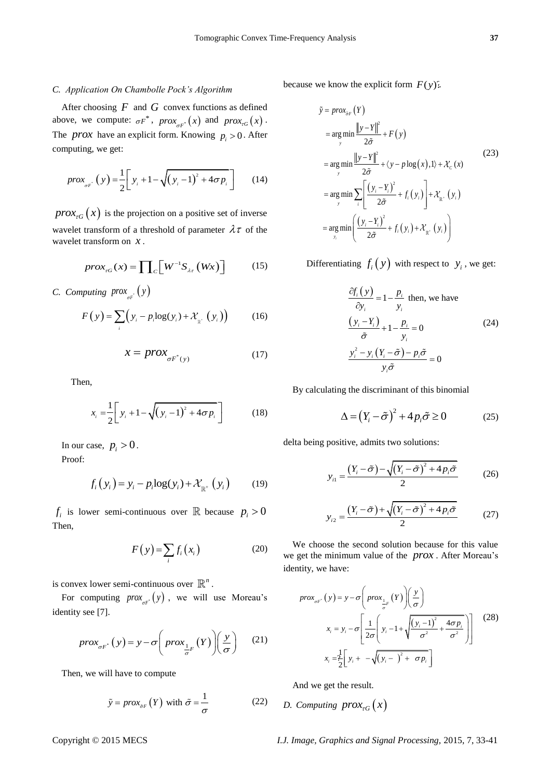## *C. Application On Chambolle Pock's Algorithm*

After choosing  $F$  and  $G$  convex functions as defined above, we compute:  $\sigma F^*$ ,  $prox_{\sigma F^*}(x)$  and  $prox_{\tau G}(x)$ . The *prox* have an explicit form. Knowing  $p_i > 0$ . After computing, we get:

$$
prox_{\sigma F} (y) = \frac{1}{2} \bigg[ y_i + 1 - \sqrt{(y_i - 1)^2 + 4\sigma p_i} \bigg] \qquad (14)
$$

 $prox_{\tau G}(x)$  is the projection on a positive set of inverse wavelet transform of a threshold of parameter  $\lambda \tau$  of the wavelet transform on *x* .

$$
prox_{\tau G}(x) = \prod_{C} \left[ W^{-1} S_{\lambda \tau} \left( Wx \right) \right] \tag{15}
$$

*C.* Computing  $prox_{\sigma F}(y)$ 

$$
F(y) = \sum_{i} \left( y_i - p_i \log(y_i) + \mathcal{X}_{g^*}(y_i) \right) \tag{16}
$$

$$
x = prox_{\sigma F^*(y)} \tag{17}
$$

Then,

$$
x_{i} = \frac{1}{2} \left[ y_{i} + 1 - \sqrt{(y_{i} - 1)^{2} + 4\sigma p_{i}} \right]
$$
 (18)

In our case,  $p_i > 0$ . Proof:

$$
f_i(y_i) = y_i - p_i \log(y_i) + \mathcal{X}_{\mathbb{R}^+}(y_i)
$$
 (19)

 $f_i$  is lower semi-continuous over  $\mathbb R$  because  $p_i > 0$ Then,

$$
F(y) = \sum_{i} f_i(x_i)
$$
 (20)

is convex lower semi-continuous over  $\mathbb{R}^n$ .

For computing  $prox_{\sigma F}(y)$ , we will use Moreau's identity see [7].

$$
prox_{\sigma F^*}(y) = y - \sigma \left( prox_{\frac{1}{\sigma}F}(Y) \right) \left( \frac{y}{\sigma} \right)
$$
 (21)

Then, we will have to compute

$$
\tilde{y} = prox_{\tilde{\sigma}F} (Y) \text{ with } \tilde{\sigma} = \frac{1}{\sigma}
$$
 (22)

because we know the explicit form  $F(y)$ .

$$
\tilde{y} = prox_{\tilde{\sigma}F} (Y)
$$
\n
$$
= \underset{y}{\arg \min} \frac{\|y - Y\|^2}{2\tilde{\sigma}} + F(y)
$$
\n
$$
= \underset{y}{\arg \min} \frac{\|y - Y\|^2}{2\tilde{\sigma}} + \langle y - p \log(x), 1 \rangle + \mathcal{X}_c(x)
$$
\n
$$
= \underset{y}{\arg \min} \sum_{i} \left[ \frac{(y_i - Y_i)^2}{2\tilde{\sigma}} + f_i(y_i) \right] + \mathcal{X}_{R^*}(y_i)
$$
\n
$$
= \underset{y_i}{\arg \min} \left( \frac{(y_i - Y_i)^2}{2\tilde{\sigma}} + f_i(y_i) + \mathcal{X}_{R^*}(y_i) \right)
$$
\n(23)

Differentiating  $f_i(y)$  with respect to  $y_i$ , we get:

$$
\frac{\partial f_i(y)}{\partial y_i} = 1 - \frac{p_i}{y_i} \text{ then, we have}
$$
  

$$
\frac{(y_i - Y_i)}{\tilde{\sigma}} + 1 - \frac{p_i}{y_i} = 0
$$
 (24)  

$$
\frac{y_i^2 - y_i (Y_i - \tilde{\sigma}) - p_i \tilde{\sigma}}{y_i \tilde{\sigma}} = 0
$$

By calculating the discriminant of this binomial

$$
\Delta = (Y_i - \tilde{\sigma})^2 + 4p_i\tilde{\sigma} \ge 0 \tag{25}
$$

delta being positive, admits two solutions:

$$
y_{i1} = \frac{\left(Y_i - \tilde{\sigma}\right) - \sqrt{\left(Y_i - \tilde{\sigma}\right)^2 + 4p_i\tilde{\sigma}}}{2} \tag{26}
$$

$$
y_{i2} = \frac{\left(Y_i - \tilde{\sigma}\right) + \sqrt{\left(Y_i - \tilde{\sigma}\right)^2 + 4p_i\tilde{\sigma}}}{2} \tag{27}
$$

We choose the second solution because for this value we get the minimum value of the *prox* . After Moreau's identity, we have:

$$
prox_{\sigma F}(y) = y - \sigma \left( prox_{\frac{1}{\sigma}F}(Y) \left( \frac{y}{\sigma} \right) \right)
$$
  

$$
x_i = y_i - \sigma \left[ \frac{1}{2\sigma} \left( y_i - 1 + \sqrt{\frac{(y_i - 1)^2}{\sigma^2} + \frac{4\sigma p_i}{\sigma^2}} \right) \right]
$$
(28)  

$$
x_i = \frac{1}{2} \left[ y_i + -\sqrt{(y_i - )^2 + \sigma p_i} \right]
$$

And we get the result.

*D.* Computing  $prox_{\tau G}(x)$ 

Copyright © 2015 MECS *I.J. Image, Graphics and Signal Processing,* 2015, 7, 33-41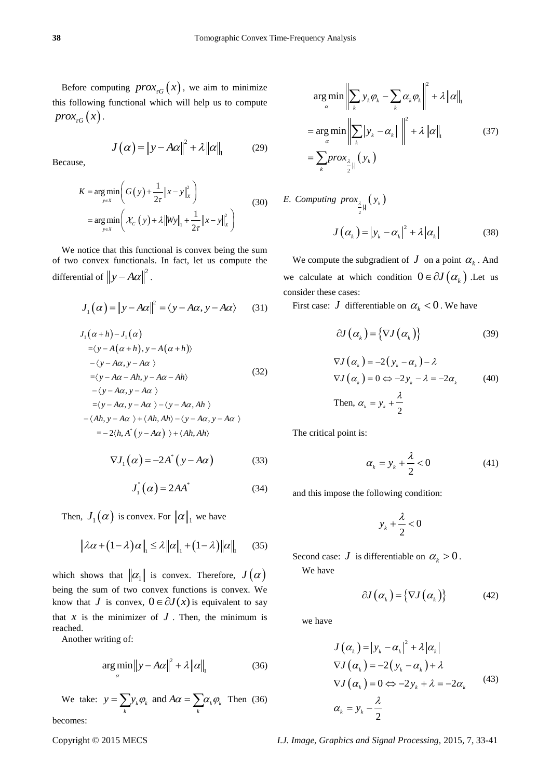Before computing  $prox_{\tau G}(x)$ , we aim to minimize this following functional which will help us to compute  $prox_{\tau G}(x)$ .

$$
J(\alpha) = \|y - A\alpha\|^2 + \lambda \|\alpha\|_1 \qquad (29)
$$

Because,

$$
K = \underset{y \in X}{\arg \min} \left( G(y) + \frac{1}{2\tau} \|x - y\|_{X}^{2} \right)
$$
  
= 
$$
\underset{y \in X}{\arg \min} \left( \mathcal{X}_{C}(y) + \lambda \|Wy\|_{1} + \frac{1}{2\tau} \|x - y\|_{X}^{2} \right)
$$
 (30)

We notice that this functional is convex being the sum of two convex functionals. In fact, let us compute the differential of  $||y - A\alpha||^2$ .

$$
J_1(\alpha) = ||y - A\alpha||^2 = \langle y - A\alpha, y - A\alpha \rangle \qquad (31)
$$

$$
J_{1}(\alpha+h)-J_{1}(\alpha)
$$
  
\n
$$
=\langle y-A(\alpha+h), y-A(\alpha+h)\rangle
$$
  
\n
$$
-\langle y-A\alpha, y-A\alpha \rangle
$$
  
\n
$$
=\langle y-A\alpha-Ah, y-A\alpha-Ah\rangle
$$
  
\n
$$
-\langle y-A\alpha, y-A\alpha \rangle
$$
  
\n
$$
=\langle y-A\alpha, y-A\alpha \rangle - \langle y-A\alpha, Ah\rangle
$$
  
\n
$$
-\langle Ah, y-A\alpha \rangle + \langle Ah, Ah\rangle - \langle y-A\alpha, y-A\alpha \rangle
$$
  
\n
$$
=-2\langle h, A^{*}(y-A\alpha) \rangle + \langle Ah, Ah\rangle
$$
  
\n
$$
\nabla J_{1}(\alpha) = -2A^{*}(y-A\alpha)
$$
 (33)

$$
J_1^{\dagger}(\alpha) = 2AA^* \tag{34}
$$

Then,  $J_1(\alpha)$  is convex. For  $\|\alpha\|_1$  we have

$$
\|\lambda \alpha + (1 - \lambda) \alpha\|_{1} \leq \lambda \|\alpha\|_{1} + (1 - \lambda) \|\alpha\|_{1} \qquad (35)
$$

which shows that  $\|\alpha_1\|$  is convex. Therefore,  $J(\alpha)$ being the sum of two convex functions is convex. We know that *J* is convex,  $0 \in \partial J(x)$  is equivalent to say that  $x$  is the minimizer of  $J$ . Then, the minimum is reached.

Another writing of:

$$
\underset{\alpha}{\arg\min} \|y - A\alpha\|^2 + \lambda \|\alpha\|_1 \tag{36}
$$

We take:  $y = \sum y_k \varphi_k$  and  $A\alpha = \sum \alpha_k \varphi_k$  $y = \sum_{k} y_k \varphi_k$  and  $A\alpha = \sum_{k} \alpha_k \varphi_k$  Then (36) becomes:

$$
\arg\min_{\alpha} \left\| \sum_{k} y_{k} \varphi_{k} - \sum_{k} \alpha_{k} \varphi_{k} \right\|^{2} + \lambda \left\| \alpha \right\|_{1}
$$
\n
$$
= \arg\min_{\alpha} \left\| \sum_{k} |y_{k} - \alpha_{k}| \right\|^{2} + \lambda \left\| \alpha \right\|_{1} \tag{37}
$$
\n
$$
= \sum_{k} \text{prox}_{\frac{\lambda}{2} \left| \left\| \left( y_{k} \right) \right\| \right.}
$$

E. Computing prox<sub>2</sub> 
$$
(y_k)
$$
  

$$
J(\alpha_k) = |y_k - \alpha_k|^2 + \lambda |\alpha_k|
$$
(38)

We compute the subgradient of  $J$  on a point  $\alpha_k$ . And we calculate at which condition  $0 \in \partial J(\alpha_k)$ . Let us consider these cases:

First case: *J* differentiable on  $\alpha_k < 0$ . We have

$$
\partial J(\alpha_{k}) = \{ \nabla J(\alpha_{k}) \}
$$
 (39)

$$
\nabla J\left(\alpha_{k}\right) = -2\left(y_{k} - \alpha_{k}\right) - \lambda
$$
\n
$$
\nabla J\left(\alpha_{k}\right) = 0 \Leftrightarrow -2y_{k} - \lambda = -2\alpha_{k} \tag{40}
$$
\n
$$
\text{Then, } \alpha_{k} = y_{k} + \frac{\lambda}{2}
$$

The critical point is:

$$
\alpha_k = y_k + \frac{\lambda}{2} < 0 \tag{41}
$$

and this impose the following condition:

$$
y_k+\frac{\lambda}{2}<0
$$

Second case: *J* is differentiable on  $\alpha_k > 0$ .

We have

$$
\partial J(\alpha_{k}) = \{ \nabla J(\alpha_{k}) \}
$$
 (42)

we have

$$
J(\alpha_{k}) = |y_{k} - \alpha_{k}|^{2} + \lambda |\alpha_{k}|
$$
  
\n
$$
\nabla J(\alpha_{k}) = -2(y_{k} - \alpha_{k}) + \lambda
$$
  
\n
$$
\nabla J(\alpha_{k}) = 0 \Leftrightarrow -2y_{k} + \lambda = -2\alpha_{k}
$$
\n(43)  
\n
$$
\alpha_{k} = y_{k} - \frac{\lambda}{2}
$$

Copyright © 2015 MECS *I.J. Image, Graphics and Signal Processing,* 2015, 7, 33-41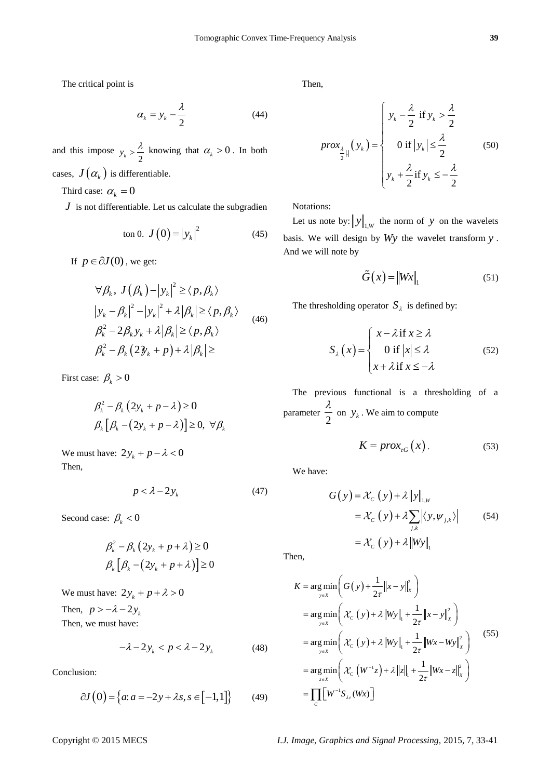The critical point is

$$
\alpha_k = y_k - \frac{\lambda}{2} \tag{44}
$$

and this impose  $y_k > \frac{\lambda}{2}$  knowing that  $\alpha_k > 0$ . In both cases,  $J(\alpha_k)$  is differentiable.

Third case:  $\alpha_k = 0$ 

*J* is not differentiable. Let us calculate the subgradien

ton 0. 
$$
J(0) = |y_k|^2
$$
 (45)

If  $p \in \partial J(0)$ , we get:

$$
\forall \beta_k, J(\beta_k) - |y_k|^2 \ge \langle p, \beta_k \rangle
$$
  
\n
$$
|y_k - \beta_k|^2 - |y_k|^2 + \lambda |\beta_k| \ge \langle p, \beta_k \rangle
$$
  
\n
$$
\beta_k^2 - 2\beta_k y_k + \lambda |\beta_k| \ge \langle p, \beta_k \rangle
$$
  
\n
$$
\beta_k^2 - \beta_k (2\vartheta_k + p) + \lambda |\beta_k| \ge
$$

First case:  $\beta_k > 0$ 

$$
\beta_k^2 - \beta_k (2y_k + p - \lambda) \ge 0
$$
  

$$
\beta_k [\beta_k - (2y_k + p - \lambda)] \ge 0, \ \forall \beta_k
$$

We must have:  $2y_k + p - \lambda < 0$ Then,

$$
p < \lambda - 2y_k \tag{47}
$$

Second case:  $\beta_k < 0$ 

$$
\beta_k^2 - \beta_k (2y_k + p + \lambda) \ge 0
$$
  

$$
\beta_k [\beta_k - (2y_k + p + \lambda)] \ge 0
$$

We must have:  $2y_k + p + \lambda > 0$ Then,  $p > -\lambda - 2y_k$ 

Then, we must have:

$$
-\lambda - 2y_k < p < \lambda - 2y_k \tag{48}
$$

Conclusion:

$$
\partial J(0) = \{a: a = -2y + \lambda s, s \in [-1, 1]\}
$$
 (49)

Then,

$$
prox_{\frac{\lambda}{2} \parallel}(y_k) = \begin{cases} y_k - \frac{\lambda}{2} & \text{if } y_k > \frac{\lambda}{2} \\ 0 & \text{if } |y_k| \le \frac{\lambda}{2} \\ y_k + \frac{\lambda}{2} & \text{if } y_k \le -\frac{\lambda}{2} \end{cases}
$$
(50)

Notations:

Let us note by:  $||y||_{1,W}$  the norm of y on the wavelets basis. We will design by *Wy* the wavelet transform *y* . And we will note by

$$
\tilde{G}(x) = \|Wx\|_1 \tag{51}
$$

The thresholding operator  $S_{\lambda}$  is defined by:

$$
S_{\lambda}(x) = \begin{cases} x - \lambda \text{ if } x \ge \lambda \\ 0 \text{ if } |x| \le \lambda \\ x + \lambda \text{ if } x \le -\lambda \end{cases}
$$
 (52)

The previous functional is a thresholding of a parameter 2  $\frac{\lambda}{2}$  on  $y_k$ . We aim to compute

$$
K = prox_{rG}(x).
$$
 (53)

We have:

$$
G(y) = \mathcal{X}_C(y) + \lambda ||y||_{1,w}
$$
  
=  $\mathcal{X}_C(y) + \lambda \sum_{j,k} |\langle y, \psi_{j,k} \rangle|$  (54)  
=  $\mathcal{X}_C(y) + \lambda ||Wy||_1$ 

Then,

$$
K = \underset{y \in X}{\arg \min} \left( G(y) + \frac{1}{2\tau} ||x - y||_x^2 \right)
$$
  
= 
$$
\underset{y \in X}{\arg \min} \left( \mathcal{X}_C (y) + \lambda ||Wy||_1 + \frac{1}{2\tau} ||x - y||_x^2 \right)
$$
  
= 
$$
\underset{y \in X}{\arg \min} \left( \mathcal{X}_C (y) + \lambda ||Wy||_1 + \frac{1}{2\tau} ||Wx - Wy||_x^2 \right)
$$
  
= 
$$
\underset{z \in X}{\arg \min} \left( \mathcal{X}_C (W^{-1}z) + \lambda ||z||_1 + \frac{1}{2\tau} ||Wx - z||_x^2 \right)
$$
  
= 
$$
\prod_C [W^{-1}S_{\lambda_T}(Wx)]
$$
 (55)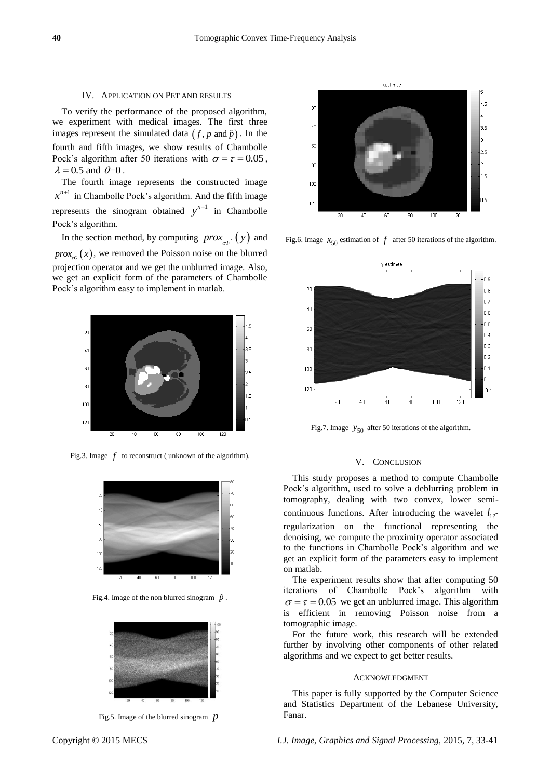#### IV. APPLICATION ON PET AND RESULTS

To verify the performance of the proposed algorithm, we experiment with medical images. The first three images represent the simulated data  $(f, p \text{ and } \tilde{p})$ . In the fourth and fifth images, we show results of Chambolle Pock's algorithm after 50 iterations with  $\sigma = \tau = 0.05$ ,  $\lambda = 0.5$  and  $\theta = 0$ .

The fourth image represents the constructed image  $x^{n+1}$  in Chambolle Pock's algorithm. And the fifth image represents the sinogram obtained  $y^{n+1}$  in Chambolle Pock's algorithm.

In the section method, by computing  $prox_{\sigma F^*}(y)$  and  $prox_{\tau G}(x)$ , we removed the Poisson noise on the blurred projection operator and we get the unblurred image. Also, we get an explicit form of the parameters of Chambolle Pock's algorithm easy to implement in matlab.



Fig.3. Image  $f$  to reconstruct (unknown of the algorithm).



Fig.4. Image of the non blurred sinogram  $\tilde{p}$ .



Fig.5. Image of the blurred sinogram *p*



Fig.6. Image  $x_{50}$  estimation of  $f$  after 50 iterations of the algorithm.



Fig.7. Image  $y_{50}$  after 50 iterations of the algorithm.

#### V. CONCLUSION

This study proposes a method to compute Chambolle Pock's algorithm, used to solve a deblurring problem in tomography, dealing with two convex, lower semicontinuous functions. After introducing the wavelet  $l_{12}$ regularization on the functional representing the denoising, we compute the proximity operator associated to the functions in Chambolle Pock's algorithm and we get an explicit form of the parameters easy to implement on matlab.

The experiment results show that after computing 50 iterations of Chambolle Pock's algorithm with  $\sigma = \tau = 0.05$  we get an unblurred image. This algorithm is efficient in removing Poisson noise from a tomographic image.

For the future work, this research will be extended further by involving other components of other related algorithms and we expect to get better results.

#### ACKNOWLEDGMENT

This paper is fully supported by the Computer Science and Statistics Department of the Lebanese University, Fanar.